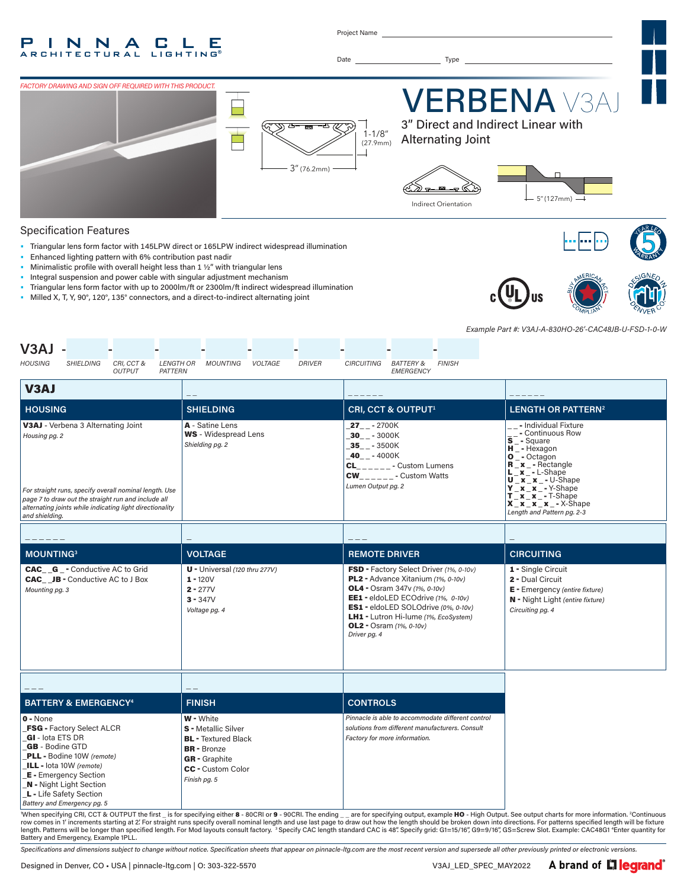#### P T. N N A  $\mathsf{L}$ C. Е **RCHITECTURAL LIGHTING**

Project Name

Date Type



#### Specification Features

- Triangular lens form factor with 145LPW direct or 165LPW indirect widespread illumination
- Enhanced lighting pattern with 6% contribution past nadir
- Minimalistic profile with overall height less than 1 ½" with triangular lens
- Integral suspension and power cable with singular adjustment mechanism
- Triangular lens form factor with up to 2000lm/ft or 2300lm/ft indirect widespread illumination
- Milled X, T, Y, 90°, 120°, 135° connectors, and a direct-to-indirect alternating joint





*Example Part #: V3AJ-A-830HO-26'-CAC48JB-U-FSD-1-0-W*

| V3AJ<br><b>HOUSING</b><br><b>SHIELDING</b><br>CRI, CCT &<br><b>LENGTH OR</b><br><b>OUTPUT</b><br>PATTERN                                                                                                                                                                                                                                                                                                                                                                                                                                                                                                                                                                                                                                                                                                                                                  | MOUNTING<br><b>VOLTAGE</b><br><b>DRIVER</b>                                                          | <b>CIRCUITING</b><br><b>BATTERY &amp;</b><br><b>FINISH</b><br><b>EMERGENCY</b>                                                                                                                                                                                                                    |                                                                                                                                                                                                                                                                                                                                                                                               |
|-----------------------------------------------------------------------------------------------------------------------------------------------------------------------------------------------------------------------------------------------------------------------------------------------------------------------------------------------------------------------------------------------------------------------------------------------------------------------------------------------------------------------------------------------------------------------------------------------------------------------------------------------------------------------------------------------------------------------------------------------------------------------------------------------------------------------------------------------------------|------------------------------------------------------------------------------------------------------|---------------------------------------------------------------------------------------------------------------------------------------------------------------------------------------------------------------------------------------------------------------------------------------------------|-----------------------------------------------------------------------------------------------------------------------------------------------------------------------------------------------------------------------------------------------------------------------------------------------------------------------------------------------------------------------------------------------|
| V3AJ                                                                                                                                                                                                                                                                                                                                                                                                                                                                                                                                                                                                                                                                                                                                                                                                                                                      |                                                                                                      |                                                                                                                                                                                                                                                                                                   |                                                                                                                                                                                                                                                                                                                                                                                               |
| <b>HOUSING</b>                                                                                                                                                                                                                                                                                                                                                                                                                                                                                                                                                                                                                                                                                                                                                                                                                                            | <b>SHIELDING</b>                                                                                     | <b>CRI, CCT &amp; OUTPUT1</b>                                                                                                                                                                                                                                                                     | LENGTH OR PATTERN <sup>2</sup>                                                                                                                                                                                                                                                                                                                                                                |
| V3AJ - Verbena 3 Alternating Joint<br>Housing pg. 2<br>For straight runs, specify overall nominal length. Use<br>page 7 to draw out the straight run and include all<br>alternating joints while indicating light directionality<br>and shielding.                                                                                                                                                                                                                                                                                                                                                                                                                                                                                                                                                                                                        | A - Satine Lens<br><b>WS</b> - Widespread Lens<br>Shielding pg. 2                                    | $27 - -2700K$<br>$30 - -3000K$<br>$-35$ <sub>-</sub> $-3500K$<br>$-40$ <sub>-</sub> $-4000K$<br>$CL_{\_--\_--}$ - Custom Lumens<br>$CW_{\_ \_ \_ \_ \_ \_ \_ \_ \_ \_ \_ \_ \_ \_ \_ \_ \_ \_ \}$ Custom Watts<br>Lumen Output pg. 2                                                              | _ _ - Individual Fixture<br>- Continuous Row<br>$\bar{s}$ <sup>-Commun</sup><br>$H^-$ - Hexagon<br>$O^-$ - Octagon<br>$R_x -$ Rectangle<br>$\overline{\mathbf{x}}$ – L-Shape<br>$U$ <sub>_</sub> x <sup>-</sup> _ x <sup>-</sup> - U-Shape<br>$Y$ $X$ $X$ $ *$ $ Y$ -Shape<br>$T$ $\mathbf{x}$ $\mathbf{x}$ $\mathbf{y}$ - T-Shape<br>$X_x_x_x_x - x$ - X-Shape<br>Length and Pattern pg. 2-3 |
|                                                                                                                                                                                                                                                                                                                                                                                                                                                                                                                                                                                                                                                                                                                                                                                                                                                           |                                                                                                      |                                                                                                                                                                                                                                                                                                   |                                                                                                                                                                                                                                                                                                                                                                                               |
| <b>MOUNTING3</b>                                                                                                                                                                                                                                                                                                                                                                                                                                                                                                                                                                                                                                                                                                                                                                                                                                          | <b>VOLTAGE</b>                                                                                       | <b>REMOTE DRIVER</b>                                                                                                                                                                                                                                                                              | <b>CIRCUITING</b>                                                                                                                                                                                                                                                                                                                                                                             |
| <b>CAC G</b> - Conductive AC to Grid<br><b>CAC</b> JB - Conductive AC to J Box<br>Mounting pg. 3                                                                                                                                                                                                                                                                                                                                                                                                                                                                                                                                                                                                                                                                                                                                                          | <b>U</b> - Universal $(120$ thru $277V$ )<br>$1 - 120V$<br>$2 - 277V$<br>$3 - 347V$<br>Voltage pg. 4 | FSD - Factory Select Driver (1%, 0-10v)<br>PL2 - Advance Xitanium (1%, 0-10v)<br><b>OL4</b> - Osram 347v (1%, 0-10v)<br>EE1 - eldoLED ECOdrive (1%, 0-10v)<br>ES1 - eldoLED SOLOdrive (0%, 0-10v)<br>LH1 - Lutron Hi-lume (1%, EcoSystem)<br><b>OL2</b> - Osram $(1\%$ , $0-10v)$<br>Driver pg. 4 | 1 - Single Circuit<br>2 - Dual Circuit<br>E - Emergency (entire fixture)<br>N - Night Light (entire fixture)<br>Circuiting pg. 4                                                                                                                                                                                                                                                              |
|                                                                                                                                                                                                                                                                                                                                                                                                                                                                                                                                                                                                                                                                                                                                                                                                                                                           |                                                                                                      |                                                                                                                                                                                                                                                                                                   |                                                                                                                                                                                                                                                                                                                                                                                               |
| <b>BATTERY &amp; EMERGENCY4</b>                                                                                                                                                                                                                                                                                                                                                                                                                                                                                                                                                                                                                                                                                                                                                                                                                           | <b>FINISH</b>                                                                                        | <b>CONTROLS</b>                                                                                                                                                                                                                                                                                   |                                                                                                                                                                                                                                                                                                                                                                                               |
| W - White<br>$0 - None$<br><b>FSG - Factory Select ALCR</b><br><b>S</b> - Metallic Silver<br>GI-lota ETS DR<br><b>BL</b> - Textured Black<br><b>GB</b> - Bodine GTD<br><b>BR</b> - Bronze<br>PLL - Bodine 10W (remote)<br><b>GR</b> - Graphite<br>ILL - lota 10W (remote)<br>CC - Custom Color<br><b>E</b> - Emergency Section<br>Finish pg. 5<br><b>N</b> - Night Light Section<br>L - Life Safety Section<br>Battery and Emergency pg. 5<br>$M_{\text{heat}}$ and $M_{\text{heat}}$ CDI CCT 8. OUTDUT the first $M_{\text{tot}}$<br>$\frac{1}{2}$ $\frac{1}{2}$ $\frac{1}{2}$ $\frac{1}{2}$ $\frac{1}{2}$ $\frac{1}{2}$ $\frac{1}{2}$ $\frac{1}{2}$ $\frac{1}{2}$ $\frac{1}{2}$ $\frac{1}{2}$ $\frac{1}{2}$ $\frac{1}{2}$ $\frac{1}{2}$ $\frac{1}{2}$ $\frac{1}{2}$ $\frac{1}{2}$ $\frac{1}{2}$ $\frac{1}{2}$ $\frac{1}{2}$ $\frac{1}{2}$ $\frac{1}{2}$ |                                                                                                      | Pinnacle is able to accommodate different control<br>solutions from different manufacturers. Consult<br>Factory for more information.<br>$\mathbf{a}$ and $\mathbf{b}$ and $\mathbf{c}$ and $\mathbf{c}$                                                                                          |                                                                                                                                                                                                                                                                                                                                                                                               |

"When specifying CRI, CCT & OUTPUT the first \_ is for specifying either 8 - 80CRI or 9 - 90CRI. The ending \_ \_ are for specifying output, example HO - High Output. See output charts for more information. 2 \_ are for specifying output, example HO - High Output. See output charts for more information. <sup>2</sup>Continuous row comes in 1′ increments starting at 2′ For straight runs specify overall nominal length and use last page to draw out how the length should be broken down into directions. For patterns specified length will be fixture<br>l Battery and Emergency, Example 1PLL.

*Specifications and dimensions subject to change without notice. Specification sheets that appear on pinnacle-ltg.com are the most recent version and supersede all other previously printed or electronic versions.*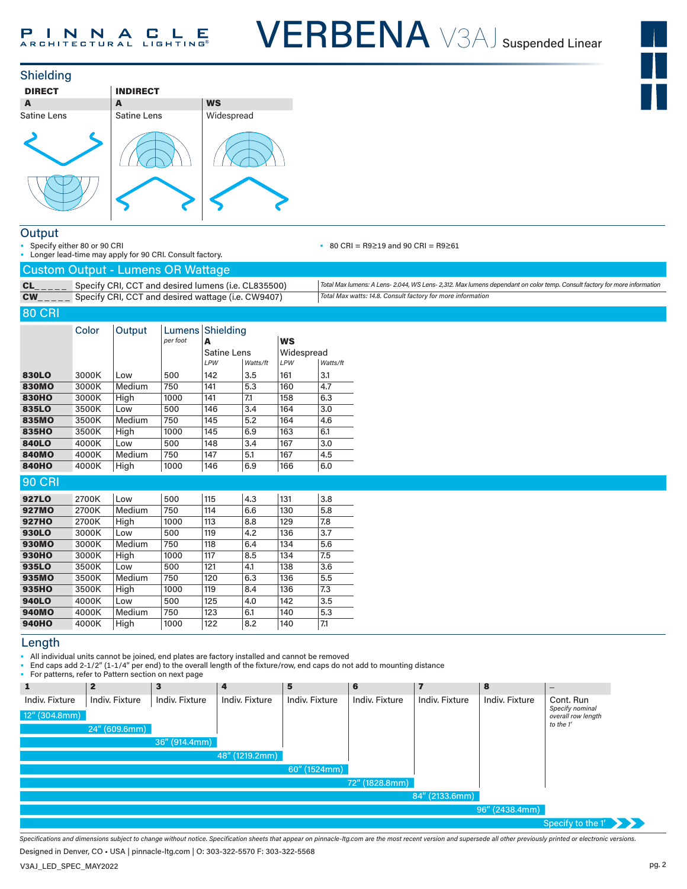



#### **Output**

• Specify either 80 or 90 CRI

Longer lead-time may apply for 90 CRI. Consult factory.

#### • 80 CRI = R9≥19 and 90 CRI = R9≥61

| .                                     |
|---------------------------------------|
| $Q$ ustam $Q$ utnut Lumana $QD$ Watto |

|                       | <b>Custom Output - Lumens OR Wattage</b>            |                                                                                                                           |
|-----------------------|-----------------------------------------------------|---------------------------------------------------------------------------------------------------------------------------|
| $CL$ <sub>_____</sub> | Specify CRI, CCT and desired lumens (i.e. CL835500) | Total Max lumens: A Lens- 2.044, WS Lens- 2,312. Max lumens dependant on color temp. Consult factory for more information |
|                       |                                                     | Total Max watts: 14.8. Consult factory for more information                                                               |

## 80 CRI

|               | Color | Output | Lumens <sup> </sup><br>per foot | A                  | Shielding<br><b>WS</b> |     |            |  |
|---------------|-------|--------|---------------------------------|--------------------|------------------------|-----|------------|--|
|               |       |        |                                 | <b>Satine Lens</b> |                        |     | Widespread |  |
|               |       |        |                                 | LPW                | Watts/ft               | LPW | Watts/ft   |  |
| 830LO         | 3000K | l ow   | 500                             | 142                | 3.5                    | 161 | 3.1        |  |
| 830MO         | 3000K | Medium | 750                             | 141                | 5.3                    | 160 | 4.7        |  |
| <b>830HO</b>  | 3000K | High   | 1000                            | 141                | 7.1                    | 158 | 6.3        |  |
| 835LO         | 3500K | Low    | 500                             | 146                | 3.4                    | 164 | 3.0        |  |
| 835MO         | 3500K | Medium | 750                             | 145                | 5.2                    | 164 | 4.6        |  |
| 835HO         | 3500K | High   | 1000                            | 145                | 6.9                    | 163 | 6.1        |  |
| <b>840LO</b>  | 4000K | Low    | 500                             | 148                | 3.4                    | 167 | 3.0        |  |
| <b>840MO</b>  | 4000K | Medium | 750                             | 147                | 5.1                    | 167 | 4.5        |  |
| <b>840HO</b>  | 4000K | High   | 1000                            | 146                | 6.9                    | 166 | 6.0        |  |
| <b>90 CRI</b> |       |        |                                 |                    |                        |     |            |  |
| <b>927LO</b>  | 2700K | Low    | 500                             | 115                | 4.3                    | 131 | 3.8        |  |
| <b>927MO</b>  | 2700K | Medium | 750                             | 114                | 6.6                    | 130 | 5.8        |  |
| <b>927HO</b>  | 2700K | High   | 1000                            | 113                | 8.8                    | 129 | 7.8        |  |
| 930LO         | 3000K | Low    | 500                             | 119                | 4.2                    | 136 | 3.7        |  |
| 930MO         | 3000K | Medium | 750                             | 118                | 6.4                    | 134 | 5.6        |  |
| <b>930HO</b>  | 3000K | High   | 1000                            | 117                | 8.5                    | 134 | 7.5        |  |
| 935LO         | 3500K | Low    | 500                             | 121                | 4.1                    | 138 | 3.6        |  |
| 935MO         | 3500K | Medium | 750                             | 120                | 6.3                    | 136 | 5.5        |  |
| 935HO         | 3500K | High   | 1000                            | 119                | 8.4                    | 136 | 7.3        |  |
| <b>940LO</b>  | 4000K | Low    | 500                             | 125                | 4.0                    | 142 | 3.5        |  |
| <b>940MO</b>  | 4000K | Medium | 750                             | 123                | 6.1                    | 140 | 5.3        |  |

#### Length

• All individual units cannot be joined, end plates are factory installed and cannot be removed

940HO 4000K High 1000 122 8.2 140 7.1

• End caps add 2-1/2" (1-1/4" per end) to the overall length of the fixture/row, end caps do not add to mounting distance

• For patterns, refer to Pattern section on next page

|                  | . or patterne) refer to rettern occupit on nont page |                  |                |                |                 |                |                |                                       |
|------------------|------------------------------------------------------|------------------|----------------|----------------|-----------------|----------------|----------------|---------------------------------------|
| 1                | $\mathbf{2}$                                         | 3                | 4              | 5              | $6\phantom{1}6$ | 7              | 8              | $\qquad \qquad -$                     |
| Indiv. Fixture   | Indiv. Fixture                                       | Indiv. Fixture   | Indiv. Fixture | Indiv. Fixture | Indiv. Fixture  | Indiv. Fixture | Indiv. Fixture | Cont. Run                             |
| $12''$ (304.8mm) |                                                      |                  |                |                |                 |                |                | Specify nominal<br>overall row length |
|                  | 24'' (609.6mm)                                       |                  |                |                |                 |                |                | to the 1'                             |
|                  |                                                      | $36''$ (914.4mm) |                |                |                 |                |                |                                       |
|                  |                                                      |                  | 48" (1219.2mm) |                |                 |                |                |                                       |
|                  |                                                      |                  |                | 60" (1524mm)   |                 |                |                |                                       |
|                  |                                                      |                  |                |                | 72" (1828.8mm)  |                |                |                                       |
|                  |                                                      |                  |                |                |                 | 84" (2133.6mm) |                |                                       |
|                  |                                                      |                  |                |                |                 |                | 96" (2438.4mm) |                                       |
|                  |                                                      |                  |                |                |                 |                |                | Specify to the $1'$                   |

*Specifications and dimensions subject to change without notice. Specification sheets that appear on pinnacle-ltg.com are the most recent version and supersede all other previously printed or electronic versions.*

Designed in Denver, CO • USA | pinnacle-ltg.com | O: 303-322-5570 F: 303-322-5568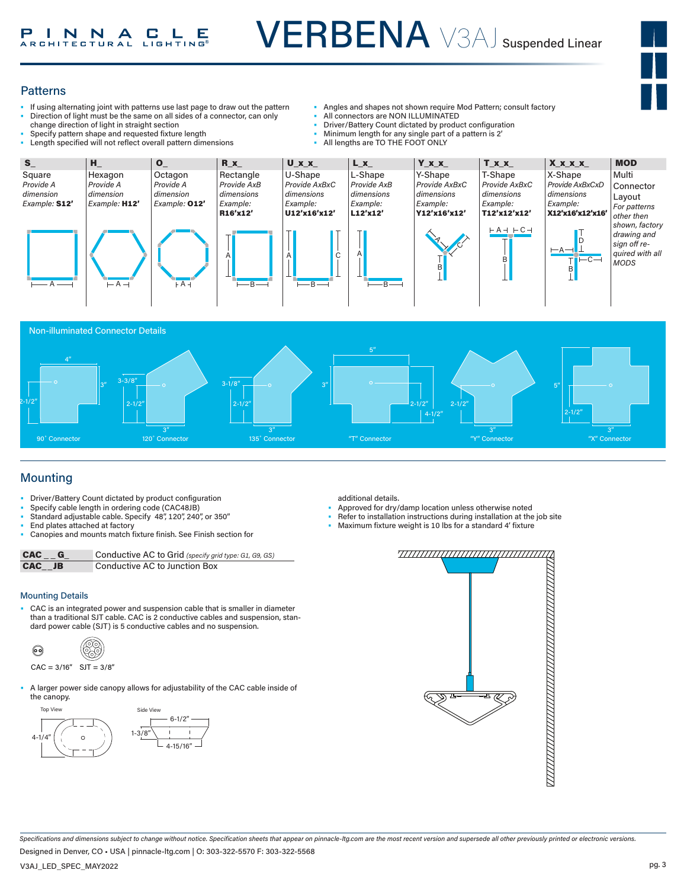

#### **Patterns**

- If using alternating joint with patterns use last page to draw out the pattern • Direction of light must be the same on all sides of a connector, can only change direction of light in straight section
- 
- Specify pattern shape and requested lixture length<br>• Length specified will not reflect overall pattern dimensions • Specify pattern shape and requested fixture length<br>• Length specified will not reflect overall pattern dim
- Angles and shapes not shown require Mod Pattern; consult factory
- All connectors are NON ILLUMINATED
- Driver/Battery Count dictated by product configuration
- Minimum length for any single part of a pattern is 2'
- All lengths are TO THE FOOT ONLY







## Mounting

- Driver/Battery Count dictated by product configuration
- Specify cable length in ordering code (CAC48JB)
- Standard adjustable cable. Specify 48", 120", 240", or 350"
- End plates attached at factory
- Canopies and mounts match fixture finish. See Finish section for

CAC \_ \_ G\_ Conductive AC to Grid *(specify grid type: G1, G9, GS)* CAC\_\_JB Conductive AC to Junction Box

#### Mounting Details

• CAC is an integrated power and suspension cable that is smaller in diameter than a traditional SJT cable. CAC is 2 conductive cables and suspension, standard power cable (SJT) is 5 conductive cables and no suspension.

$$
\begin{array}{ccc}\n\bullet & & \circ \\
\bullet & & \circ \\
\bullet & & \circ\n\end{array}
$$

- $CAC = 3/16"$  SJT =  $3/8"$
- A larger power side canopy allows for adjustability of the CAC cable inside of the canopy.





- Approved for dry/damp location unless otherwise noted
- Refer to installation instructions during installation at the job site
- Maximum fixture weight is 10 lbs for a standard 4' fixture



*Specifications and dimensions subject to change without notice. Specification sheets that appear on pinnacle-ltg.com are the most recent version and supersede all other previously printed or electronic versions.*

Designed in Denver, CO • USA | pinnacle-ltg.com | O: 303-322-5570 F: 303-322-5568

V3AJ\_LED\_SPEC\_MAY2022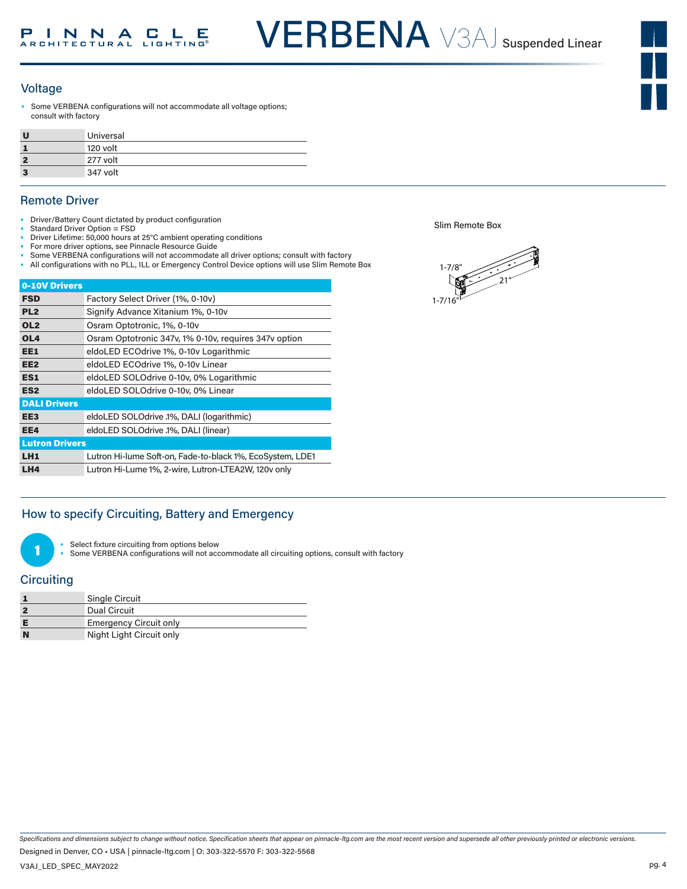

#### Voltage

Some VERBENA configurations will not accommodate all voltage options; consult with factory

| U | Universal |
|---|-----------|
|   | 120 volt  |
|   | 277 volt  |
|   | 347 volt  |

### Remote Driver

- Driver/Battery Count dictated by product configuration
- Standard Driver Option = FSD
- Driver Lifetime: 50,000 hours at 25°C ambient operating conditions • For more driver options, see Pinnacle Resource Guide
- Some VERBENA configurations will not accommodate all driver options; consult with factory
- All configurations with no PLL, ILL or Emergency Control Device options will use Slim Remote Box

| 0-10V Drivers         |                                                           |
|-----------------------|-----------------------------------------------------------|
| <b>FSD</b>            | Factory Select Driver (1%, 0-10v)                         |
| PL <sub>2</sub>       | Signify Advance Xitanium 1%, 0-10v                        |
| OL <sub>2</sub>       | Osram Optotronic, 1%, 0-10v                               |
| OL <sub>4</sub>       | Osram Optotronic 347v, 1% 0-10v, requires 347v option     |
| EE1                   | eldoLED ECOdrive 1%, 0-10v Logarithmic                    |
| EE <sub>2</sub>       | eldoLED ECOdrive 1%, 0-10v Linear                         |
| ES1                   | eldoLED SOLOdrive 0-10v, 0% Logarithmic                   |
| ES <sub>2</sub>       | eldoLED SOLOdrive 0-10v, 0% Linear                        |
| <b>DALI Drivers</b>   |                                                           |
| EE3                   | eldoLED SOLOdrive .1%, DALI (logarithmic)                 |
| EE4                   | eldoLED SOLOdrive .1%, DALI (linear)                      |
| <b>Lutron Drivers</b> |                                                           |
| LH <sub>1</sub>       | Lutron Hi-lume Soft-on, Fade-to-black 1%, EcoSystem, LDE1 |
| LH4                   | Lutron Hi-Lume 1%, 2-wire, Lutron-LTEA2W, 120v only       |

Slim Remote Box



## How to specify Circuiting, Battery and Emergency



Select fixture circuiting from options below

• Some VERBENA configurations will not accommodate all circuiting options, consult with factory

## **Circuiting**

|          | <b>Single Circuit</b>         |
|----------|-------------------------------|
|          | Dual Circuit                  |
|          | <b>Emergency Circuit only</b> |
| <b>N</b> | Night Light Circuit only      |

*Specifications and dimensions subject to change without notice. Specification sheets that appear on pinnacle-ltg.com are the most recent version and supersede all other previously printed or electronic versions.*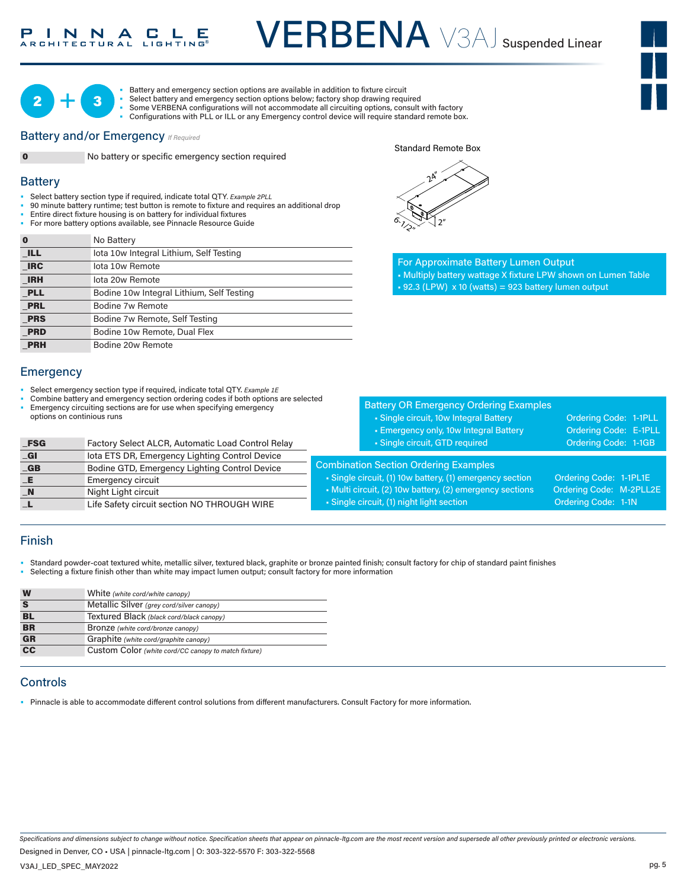



• Battery and emergency section options are available in addition to fixture circuit

- Select battery and emergency section options below; factory shop drawing required • Some VERBENA configurations will not accommodate all circuiting options, consult with factory
	- Configurations with PLL or ILL or any Emergency control device will require standard remote box.

#### **Battery and/or Emergency** *If Required*



0 No battery or specific emergency section required

### **Battery**

- Select battery section type if required, indicate total QTY*. Example 2PLL* 1-7/8"
- 90 minute battery runtime; test button is remote to fixture and requires an additional drop and
- Entire direct fixture housing is on battery for individual fixtures • For more battery options available, see Pinnacle Resource Guide

| $\bf{0}$   | No Battery                                |
|------------|-------------------------------------------|
| <b>ILL</b> | lota 10w Integral Lithium, Self Testing   |
| <b>IRC</b> | lota 10w Remote                           |
| <b>IRH</b> | lota 20w Remote                           |
| <b>PLL</b> | Bodine 10w Integral Lithium, Self Testing |
| <b>PRL</b> | Bodine 7w Remote                          |
| <b>PRS</b> | Bodine 7w Remote, Self Testing            |
| <b>PRD</b> | Bodine 10w Remote, Dual Flex              |
| <b>PRH</b> | Bodine 20w Remote                         |

#### **Emergency**

- Select emergency section type if required, indicate total QTY. *Example 1E*
- Combine battery and emergency section ordering codes if both options are selected
- Emergency circuiting sections are for use when specifying emergency options on continious runs

| $_FSG$         | Factory Select ALCR, Automatic Load Control Relay |
|----------------|---------------------------------------------------|
| _GI            | lota ETS DR, Emergency Lighting Control Device    |
| $-GB$          | Bodine GTD, Emergency Lighting Control Device     |
| _E             | <b>Emergency circuit</b>                          |
| $\blacksquare$ | Night Light circuit                               |
|                | Life Safety circuit section NO THROUGH WIRE       |

|     | $2^{\mathcal{L}^{\prime\prime}}$ |  |
|-----|----------------------------------|--|
|     |                                  |  |
| â., | 2 <sup>n</sup>                   |  |

Standard Remote Box

For Approximate Battery Lumen Output • Multiply battery wattage X fixture LPW shown on Lumen Table  $\cdot$  92.3 (LPW) x 10 (watts) = 923 battery lumen output

|                                                                                                                                                                                                                                                                                               | <b>Battery OR Emergency Ordering Examples</b><br>• Single circuit, 10w Integral Battery<br><b>Emergency only, 10w Integral Battery</b><br>· Single circuit, GTD required | Ordering Code: 1-1PLL<br>Ordering Code: E-1PLL<br>Ordering Code: 1-1GB |  |  |
|-----------------------------------------------------------------------------------------------------------------------------------------------------------------------------------------------------------------------------------------------------------------------------------------------|--------------------------------------------------------------------------------------------------------------------------------------------------------------------------|------------------------------------------------------------------------|--|--|
| <b>Combination Section Ordering Examples</b><br>• Single circuit, (1) 10w battery, (1) emergency section<br>Ordering Code: 1-1PL1E<br>Ordering Code: M-2PLL2E<br>• Multi circuit, (2) 10w battery, (2) emergency sections<br>• Single circuit, (1) night light section<br>Ordering Code: 1-1N |                                                                                                                                                                          |                                                                        |  |  |

## Finish

• Standard powder-coat textured white, metallic silver, textured black, graphite or bronze painted finish; consult factory for chip of standard paint finishes • Selecting a fixture finish other than white may impact lumen output; consult factory for more information

| W         | White (white cord/white canopy)                      |
|-----------|------------------------------------------------------|
| S         | Metallic Silver (grey cord/silver canopy)            |
| <b>BL</b> | Textured Black (black cord/black canopy)             |
| <b>BR</b> | Bronze (white cord/bronze canopy)                    |
| <b>GR</b> | Graphite (white cord/graphite canopy)                |
| <b>CC</b> | Custom Color (white cord/CC canopy to match fixture) |

## **Controls**

• Pinnacle is able to accommodate different control solutions from different manufacturers. Consult Factory for more information.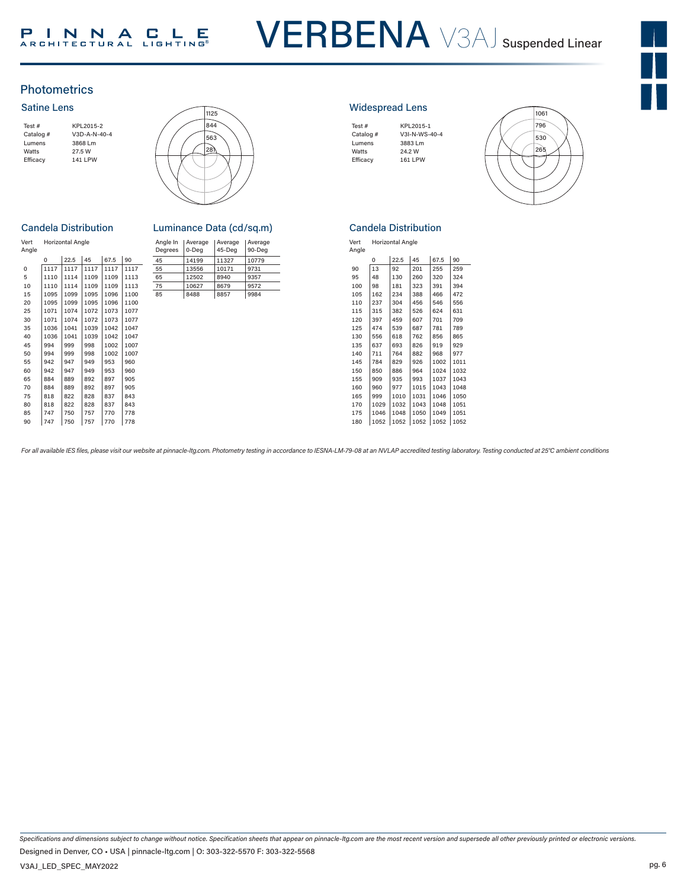## **Photometrics**

#### Satine Lens

| Test#     | KPL2015-2      |
|-----------|----------------|
| Catalog # | $V3D-A-N-40-4$ |
| Lumens    | 3868 Lm        |
| Watts     | 27.5 W         |
| Efficacy  | 141 LPW        |
|           |                |



#### **Candela Distribution**

|      |      |      |      |      | Degrees | 0-Deg | 45-Deg | $90-D$ |
|------|------|------|------|------|---------|-------|--------|--------|
| 0    | 22.5 | 45   | 67.5 | 90   | 45      | 14199 | 11327  | 1077   |
| 1117 | 1117 | 1117 | 1117 | 1117 | 55      | 13556 | 10171  | 9731   |
| 1110 | 1114 | 1109 | 1109 | 1113 | 65      | 12502 | 8940   | 9357   |
| 1110 | 1114 | 1109 | 1109 | 1113 | 75      | 10627 | 8679   | 9572   |
| 1095 | 1099 | 1095 | 1096 | 1100 | 85      | 8488  | 8857   | 9984   |
| 1095 | 1099 | 1095 | 1096 | 1100 |         |       |        |        |
| 1071 | 1074 | 1072 | 1073 | 1077 |         |       |        |        |
| 1071 | 1074 | 1072 | 1073 | 1077 |         |       |        |        |
| 1036 | 1041 | 1039 | 1042 | 1047 |         |       |        |        |
| 1036 | 1041 | 1039 | 1042 | 1047 |         |       |        |        |
| 994  | 999  | 998  | 1002 | 1007 |         |       |        |        |
| 994  | 999  | 998  | 1002 | 1007 |         |       |        |        |
| 942  | 947  | 949  | 953  | 960  |         |       |        |        |
| 942  | 947  | 949  | 953  | 960  |         |       |        |        |
| 884  | 889  | 892  | 897  | 905  |         |       |        |        |
| 884  | 889  | 892  | 897  | 905  |         |       |        |        |
| 818  | 822  | 828  | 837  | 843  |         |       |        |        |
| 818  | 822  | 828  | 837  | 843  |         |       |        |        |
| 747  | 750  | 757  | 770  | 778  |         |       |        |        |
| 747  | 750  | 757  | 770  | 778  |         |       |        |        |
|      |      |      |      |      |         |       |        |        |

|               | Candela Distribution    | Luminance Data (cd/sq.m)                                                                                                |
|---------------|-------------------------|-------------------------------------------------------------------------------------------------------------------------|
| Vert<br>Angle | <b>Horizontal Angle</b> | Angle In   Average   Average<br>Average<br>AE<br>$Dogroos \n\begin{bmatrix}\n0 & Doa\n\end{bmatrix}$<br>00 <sub>0</sub> |

|      |      |       |      |      | Degrees | l 0-Dea | 45-Dea | 90-Dea |
|------|------|-------|------|------|---------|---------|--------|--------|
| 0    | 22.5 | 45    | 67.5 | 90   | 45      | 14199   | 11327  | 10779  |
| 1117 | 1117 | 1117  | 1117 | 1117 | 55      | 13556   | 10171  | 9731   |
| 1110 | 1114 | 1109  | 1109 | 1113 | 65      | 12502   | 8940   | 9357   |
| 1110 | 1114 | 1109  | 1109 | 1113 | 75      | 10627   | 8679   | 9572   |
| 1095 | 1099 | 1095  | 1096 | 1100 | 85      | 8488    | 8857   | 9984   |
| 100F | 1000 | 1400F | 1000 | 1100 |         |         |        |        |

#### Widespread Lens

| Test#     | KPL2015-1     |
|-----------|---------------|
| Catalog # | V3I-N-WS-40-4 |
| Lumens    | 3883 Lm       |
| Watts     | 24.2 W        |
| Efficacy  | 161 LPW       |
|           |               |



#### Candela Distribution

| Vert  | <b>Horizontal Angle</b> |
|-------|-------------------------|
| Angle |                         |

|     | Ó    | 22.5 | 45   | 67.5 | 90   |
|-----|------|------|------|------|------|
| 90  | 13   | 92   | 201  | 255  | 259  |
| 95  | 48   | 130  | 260  | 320  | 324  |
| 100 | 98   | 181  | 323  | 391  | 394  |
| 105 | 162  | 234  | 388  | 466  | 472  |
| 110 | 237  | 304  | 456  | 546  | 556  |
| 115 | 315  | 382  | 526  | 624  | 631  |
| 120 | 397  | 459  | 607  | 701  | 709  |
| 125 | 474  | 539  | 687  | 781  | 789  |
| 130 | 556  | 618  | 762  | 856  | 865  |
| 135 | 637  | 693  | 826  | 919  | 929  |
| 140 | 711  | 764  | 882  | 968  | 977  |
| 145 | 784  | 829  | 926  | 1002 | 1011 |
| 150 | 850  | 886  | 964  | 1024 | 1032 |
| 155 | 909  | 935  | 993  | 1037 | 1043 |
| 160 | 960  | 977  | 1015 | 1043 | 1048 |
| 165 | 999  | 1010 | 1031 | 1046 | 1050 |
| 170 | 1029 | 1032 | 1043 | 1048 | 1051 |
| 175 | 1046 | 1048 | 1050 | 1049 | 1051 |
| 180 | 1052 | 1052 | 1052 | 1052 | 1052 |

For all available IES files, please visit our website at pinnacle-ltg.com. Photometry testing in accordance to IESNA-LM-79-08 at an NVLAP accredited testing laboratory. Testing conducted at 25°C ambient conditions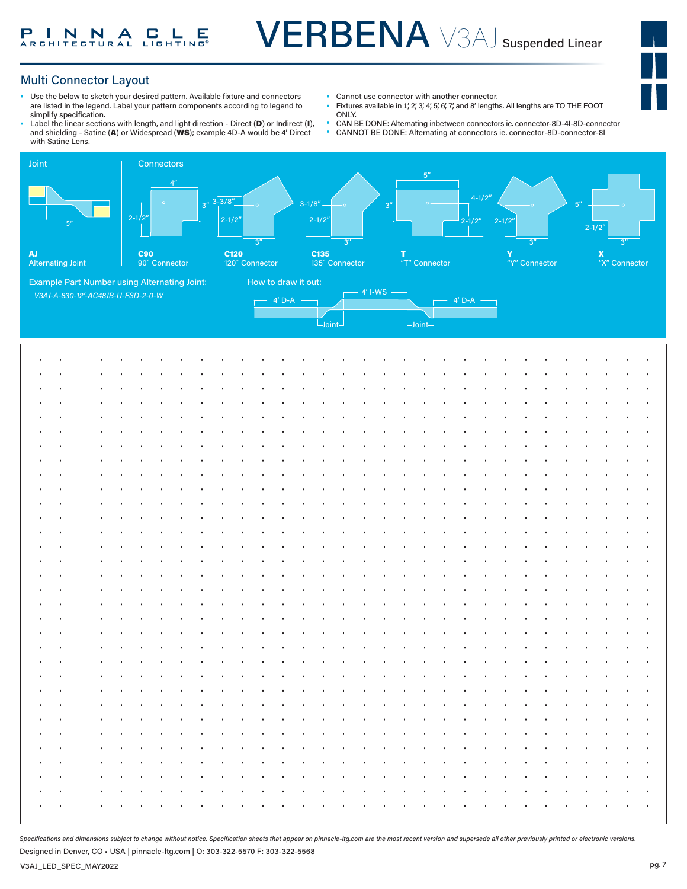

## Multi Connector Layout

- Use the below to sketch your desired pattern. Available fixture and connectors are listed in the legend. Label your pattern components according to legend to simplify specification.
- Label the linear sections with length, and light direction Direct (D) or Indirect (I), and shielding - Satine (A) or Widespread (WS); example 4D-A would be 4' Direct with Satine Lens.
- Cannot use connector with another connector.<br>• Fixtures available in 1' 2' 2' 4' 5' 6' 7' and 8' longth
- Fixtures available in 1', 2', 3', 4', 5', 6', 7', and 8' lengths. All lengths are TO THE FOOT ONLY.
- CAN BE DONE: Alternating inbetween connectors ie. connector-8D-4I-8D-connector
- CANNOT BE DONE: Alternating at connectors ie. connector-8D-connector-8I



*Specifications and dimensions subject to change without notice. Specification sheets that appear on pinnacle-ltg.com are the most recent version and supersede all other previously printed or electronic versions.*

Designed in Denver, CO • USA | pinnacle-ltg.com | O: 303-322-5570 F: 303-322-5568